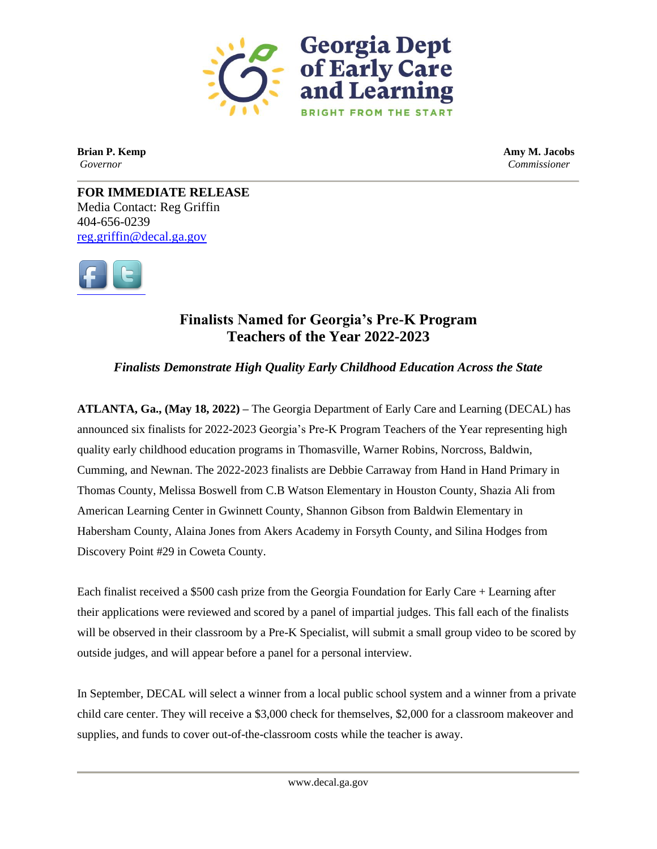

**Brian P. Kemp Amy M. Jacobs** *Governor Commissioner*

**FOR IMMEDIATE RELEASE** Media Contact: Reg Griffin 404-656-0239 [reg.griffin@decal.ga.gov](mailto:reg.griffin@decal.ga.gov)



## **Finalists Named for Georgia's Pre-K Program Teachers of the Year 2022-2023**

*Finalists Demonstrate High Quality Early Childhood Education Across the State*

**ATLANTA, Ga., (May 18, 2022) –** The Georgia Department of Early Care and Learning (DECAL) has announced six finalists for 2022-2023 Georgia's Pre-K Program Teachers of the Year representing high quality early childhood education programs in Thomasville, Warner Robins, Norcross, Baldwin, Cumming, and Newnan. The 2022-2023 finalists are Debbie Carraway from Hand in Hand Primary in Thomas County, Melissa Boswell from C.B Watson Elementary in Houston County, Shazia Ali from American Learning Center in Gwinnett County, Shannon Gibson from Baldwin Elementary in Habersham County, Alaina Jones from Akers Academy in Forsyth County, and Silina Hodges from Discovery Point #29 in Coweta County.

Each finalist received a \$500 cash prize from the Georgia Foundation for Early Care + Learning after their applications were reviewed and scored by a panel of impartial judges. This fall each of the finalists will be observed in their classroom by a Pre-K Specialist, will submit a small group video to be scored by outside judges, and will appear before a panel for a personal interview.

In September, DECAL will select a winner from a local public school system and a winner from a private child care center. They will receive a \$3,000 check for themselves, \$2,000 for a classroom makeover and supplies, and funds to cover out-of-the-classroom costs while the teacher is away.